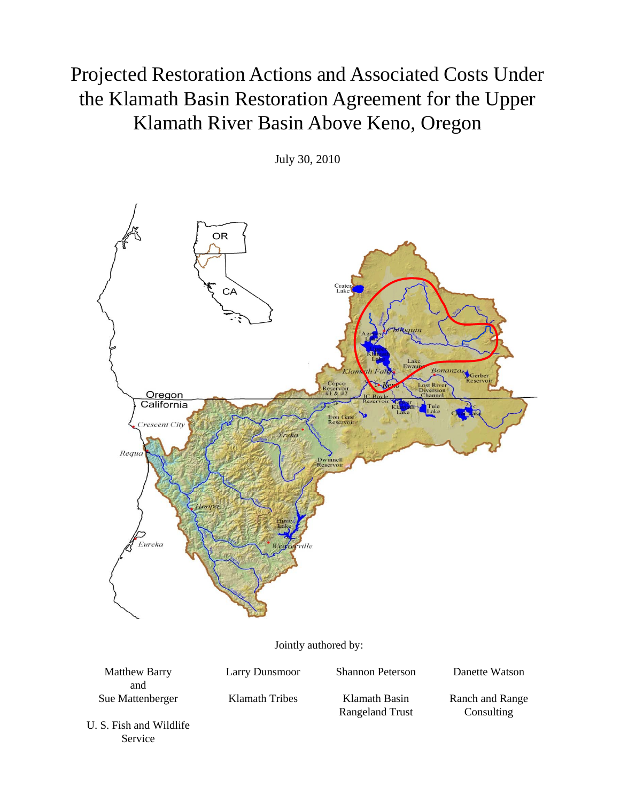## Projected Restoration Actions and Associated Costs Under the Klamath Basin Restoration Agreement for the Upper Klamath River Basin Above Keno, Oregon

July 30, 2010



U. S. Fish and Wildlife Service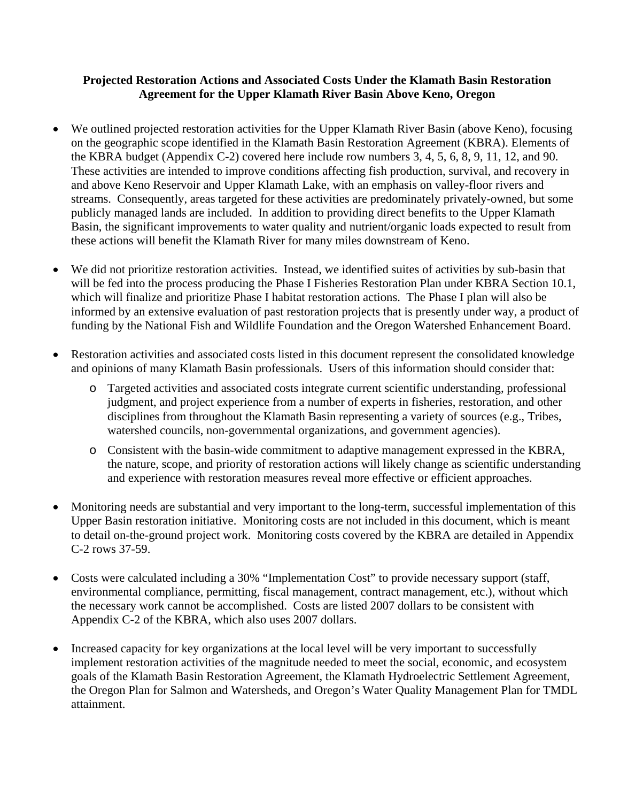## **Projected Restoration Actions and Associated Costs Under the Klamath Basin Restoration Agreement for the Upper Klamath River Basin Above Keno, Oregon**

- We outlined projected restoration activities for the Upper Klamath River Basin (above Keno), focusing on the geographic scope identified in the Klamath Basin Restoration Agreement (KBRA). Elements of the KBRA budget (Appendix C-2) covered here include row numbers 3, 4, 5, 6, 8, 9, 11, 12, and 90. These activities are intended to improve conditions affecting fish production, survival, and recovery in and above Keno Reservoir and Upper Klamath Lake, with an emphasis on valley-floor rivers and streams. Consequently, areas targeted for these activities are predominately privately-owned, but some publicly managed lands are included. In addition to providing direct benefits to the Upper Klamath Basin, the significant improvements to water quality and nutrient/organic loads expected to result from these actions will benefit the Klamath River for many miles downstream of Keno.
- We did not prioritize restoration activities. Instead, we identified suites of activities by sub-basin that will be fed into the process producing the Phase I Fisheries Restoration Plan under KBRA Section 10.1, which will finalize and prioritize Phase I habitat restoration actions. The Phase I plan will also be informed by an extensive evaluation of past restoration projects that is presently under way, a product of funding by the National Fish and Wildlife Foundation and the Oregon Watershed Enhancement Board.
- Restoration activities and associated costs listed in this document represent the consolidated knowledge and opinions of many Klamath Basin professionals. Users of this information should consider that:
	- o Targeted activities and associated costs integrate current scientific understanding, professional judgment, and project experience from a number of experts in fisheries, restoration, and other disciplines from throughout the Klamath Basin representing a variety of sources (e.g., Tribes, watershed councils, non-governmental organizations, and government agencies).
	- o Consistent with the basin-wide commitment to adaptive management expressed in the KBRA, the nature, scope, and priority of restoration actions will likely change as scientific understanding and experience with restoration measures reveal more effective or efficient approaches.
- Monitoring needs are substantial and very important to the long-term, successful implementation of this Upper Basin restoration initiative. Monitoring costs are not included in this document, which is meant to detail on-the-ground project work. Monitoring costs covered by the KBRA are detailed in Appendix C-2 rows 37-59.
- Costs were calculated including a 30% "Implementation Cost" to provide necessary support (staff, environmental compliance, permitting, fiscal management, contract management, etc.), without which the necessary work cannot be accomplished. Costs are listed 2007 dollars to be consistent with Appendix C-2 of the KBRA, which also uses 2007 dollars.
- Increased capacity for key organizations at the local level will be very important to successfully implement restoration activities of the magnitude needed to meet the social, economic, and ecosystem goals of the Klamath Basin Restoration Agreement, the Klamath Hydroelectric Settlement Agreement, the Oregon Plan for Salmon and Watersheds, and Oregon's Water Quality Management Plan for TMDL attainment.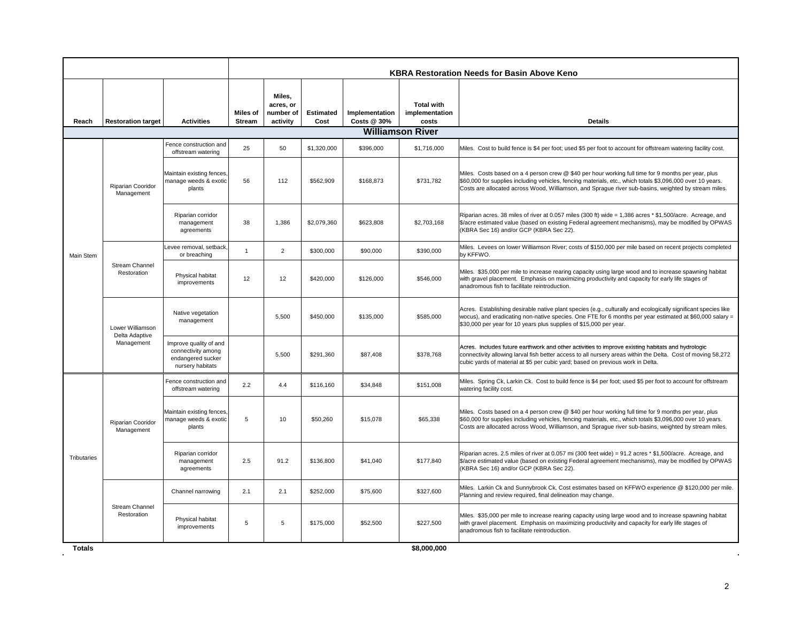|                    |                                                  |                                                                                       |                                  |                                              |                          |                               |                                              | <b>KBRA Restoration Needs for Basin Above Keno</b>                                                                                                                                                                                                                                                                        |
|--------------------|--------------------------------------------------|---------------------------------------------------------------------------------------|----------------------------------|----------------------------------------------|--------------------------|-------------------------------|----------------------------------------------|---------------------------------------------------------------------------------------------------------------------------------------------------------------------------------------------------------------------------------------------------------------------------------------------------------------------------|
| Reach              | <b>Restoration target</b>                        | <b>Activities</b>                                                                     | <b>Miles of</b><br><b>Stream</b> | Miles,<br>acres, or<br>number of<br>activity | <b>Estimated</b><br>Cost | Implementation<br>Costs @ 30% | <b>Total with</b><br>implementation<br>costs | <b>Details</b>                                                                                                                                                                                                                                                                                                            |
|                    |                                                  |                                                                                       |                                  |                                              |                          |                               | <b>Williamson River</b>                      |                                                                                                                                                                                                                                                                                                                           |
|                    |                                                  | Fence construction and<br>offstream watering                                          | 25                               | 50                                           | \$1,320,000              | \$396,000                     | \$1,716,000                                  | Miles. Cost to build fence is \$4 per foot; used \$5 per foot to account for offstream watering facility cost.                                                                                                                                                                                                            |
|                    | Riparian Cooridor<br>Management                  | Maintain existing fences<br>manage weeds & exotic<br>plants                           | 56                               | 112                                          | \$562.909                | \$168,873                     | \$731,782                                    | Miles. Costs based on a 4 person crew @ \$40 per hour working full time for 9 months per year, plus<br>\$60,000 for supplies including vehicles, fencing materials, etc., which totals \$3,096,000 over 10 years.<br>Costs are allocated across Wood, Williamson, and Sprague river sub-basins, weighted by stream miles. |
|                    |                                                  | Riparian corridor<br>management<br>agreements                                         | 38                               | 1.386                                        | \$2,079,360              | \$623,808                     | \$2,703,168                                  | Riparian acres. 38 miles of river at 0.057 miles (300 ft) wide = 1,386 acres * \$1,500/acre. Acreage, and<br>\$/acre estimated value (based on existing Federal agreement mechanisms), may be modified by OPWAS<br>(KBRA Sec 16) and/or GCP (KBRA Sec 22).                                                                |
| Main Stem          |                                                  | Levee removal, setback<br>or breaching                                                | $\overline{1}$                   | $\overline{2}$                               | \$300,000                | \$90,000                      | \$390,000                                    | Miles. Levees on lower Williamson River; costs of \$150,000 per mile based on recent projects completed<br>by KFFWO.                                                                                                                                                                                                      |
|                    | Stream Channel<br>Restoration                    | Physical habitat<br>improvements                                                      | 12                               | 12                                           | \$420,000                | \$126,000                     | \$546,000                                    | Miles. \$35,000 per mile to increase rearing capacity using large wood and to increase spawning habitat<br>with gravel placement. Emphasis on maximizing productivity and capacity for early life stages of<br>anadromous fish to facilitate reintroduction.                                                              |
|                    | Lower Williamson<br>Delta Adaptive<br>Management | Native vegetation<br>management                                                       |                                  | 5,500                                        | \$450,000                | \$135,000                     | \$585,000                                    | Acres. Establishing desirable native plant species (e.g., culturally and ecologically significant species like<br>wocus), and eradicating non-native species. One FTE for 6 months per year estimated at \$60,000 salary =<br>\$30,000 per year for 10 years plus supplies of \$15,000 per year.                          |
|                    |                                                  | Improve quality of and<br>connectivity among<br>endangered sucker<br>nursery habitats |                                  | 5.500                                        | \$291,360                | \$87,408                      | \$378,768                                    | Acres. Includes future earthwork and other activities to improve existing habitats and hydrologic<br>connectivity allowing larval fish better access to all nursery areas within the Delta. Cost of moving 58,272<br>cubic yards of material at \$5 per cubic yard; based on previous work in Delta.                      |
|                    |                                                  | Fence construction and<br>offstream watering                                          | 2.2                              | 4.4                                          | \$116,160                | \$34,848                      | \$151,008                                    | Miles. Spring Ck, Larkin Ck. Cost to build fence is \$4 per foot; used \$5 per foot to account for offstream<br>watering facility cost.                                                                                                                                                                                   |
|                    | Riparian Cooridor<br>Management                  | Maintain existing fences,<br>manage weeds & exotic<br>plants                          | 5                                | 10                                           | \$50,260                 | \$15,078                      | \$65,338                                     | Miles. Costs based on a 4 person crew @ \$40 per hour working full time for 9 months per year, plus<br>\$60,000 for supplies including vehicles, fencing materials, etc., which totals \$3,096,000 over 10 years.<br>Costs are allocated across Wood, Williamson, and Sprague river sub-basins, weighted by stream miles. |
| <b>Tributaries</b> |                                                  | Riparian corridor<br>management<br>agreements                                         | 2.5                              | 91.2                                         | \$136,800                | \$41,040                      | \$177,840                                    | Riparian acres. 2.5 miles of river at 0.057 mi (300 feet wide) = 91.2 acres * \$1,500/acre. Acreage, and<br>\$/acre estimated value (based on existing Federal agreement mechanisms), may be modified by OPWAS<br>(KBRA Sec 16) and/or GCP (KBRA Sec 22).                                                                 |
|                    |                                                  | Channel narrowing                                                                     | 2.1                              | 2.1                                          | \$252,000                | \$75,600                      | \$327,600                                    | Miles. Larkin Ck and Sunnybrook Ck. Cost estimates based on KFFWO experience @ \$120,000 per mile.<br>Planning and review required, final delineation may change.                                                                                                                                                         |
|                    | <b>Stream Channel</b><br>Restoration             | Physical habitat<br>improvements                                                      | 5                                | 5                                            | \$175,000                | \$52,500                      | \$227,500                                    | Miles. \$35,000 per mile to increase rearing capacity using large wood and to increase spawning habitat<br>with gravel placement. Emphasis on maximizing productivity and capacity for early life stages of<br>anadromous fish to facilitate reintroduction.                                                              |

 $\ddot{\phantom{a}}$ 

 $\sim$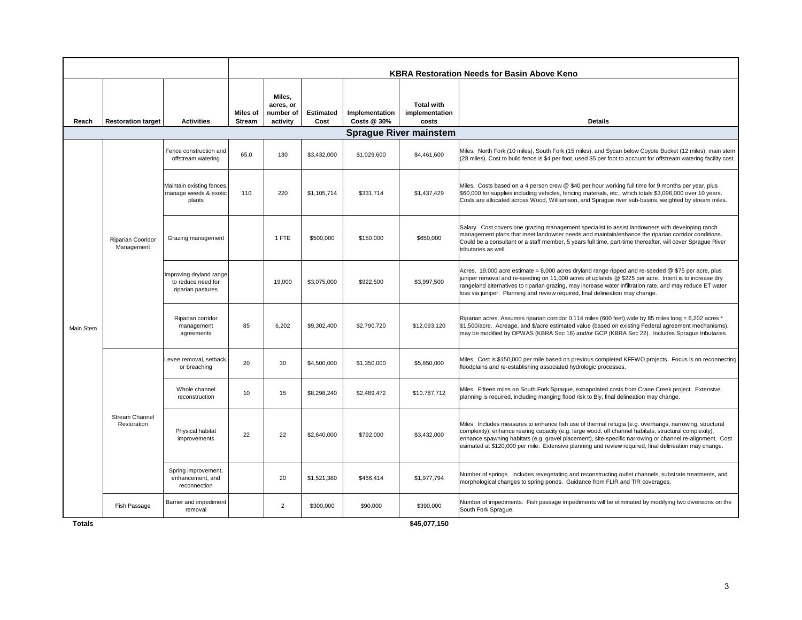|           |                                        |                                                                    |                                  |                                              |                   |                               |                                              | <b>KBRA Restoration Needs for Basin Above Keno</b>                                                                                                                                                                                                                                                                                                                                                                                   |
|-----------|----------------------------------------|--------------------------------------------------------------------|----------------------------------|----------------------------------------------|-------------------|-------------------------------|----------------------------------------------|--------------------------------------------------------------------------------------------------------------------------------------------------------------------------------------------------------------------------------------------------------------------------------------------------------------------------------------------------------------------------------------------------------------------------------------|
| Reach     | <b>Restoration target</b>              | <b>Activities</b>                                                  | <b>Miles of</b><br><b>Stream</b> | Miles,<br>acres, or<br>number of<br>activity | Estimated<br>Cost | Implementation<br>Costs @ 30% | <b>Total with</b><br>implementation<br>costs | <b>Details</b>                                                                                                                                                                                                                                                                                                                                                                                                                       |
|           |                                        |                                                                    |                                  |                                              |                   |                               | <b>Sprague River mainstem</b>                |                                                                                                                                                                                                                                                                                                                                                                                                                                      |
|           |                                        | Fence construction and<br>offstream watering                       | 65.0                             | 130                                          | \$3,432,000       | \$1,029,600                   | \$4,461,600                                  | Miles. North Fork (10 miles), South Fork (15 miles), and Sycan below Coyote Bucket (12 miles), main stem<br>(28 miles). Cost to build fence is \$4 per foot, used \$5 per foot to account for offstream watering facility cost.                                                                                                                                                                                                      |
|           |                                        | Maintain existing fences<br>manage weeds & exotic<br>plants        | 110                              | 220                                          | \$1,105,714       | \$331.714                     | \$1,437,429                                  | Miles. Costs based on a 4 person crew @ \$40 per hour working full time for 9 months per year, plus<br>\$60,000 for supplies including vehicles, fencing materials, etc., which totals \$3,096,000 over 10 years.<br>Costs are allocated across Wood, Williamson, and Sprague river sub-basins, weighted by stream miles.                                                                                                            |
|           | <b>Riparian Cooridor</b><br>Management | Grazing management                                                 |                                  | 1 FTE                                        | \$500,000         | \$150,000                     | \$650,000                                    | Salary. Cost covers one grazing management specialist to assist landowners with developing ranch<br>management plans that meet landowner needs and maintain/enhance the riparian corridor conditions.<br>Could be a consultant or a staff member, 5 years full time, part-time thereafter, will cover Sprague River<br>tributaries as well.                                                                                          |
|           |                                        | Improving dryland range<br>to reduce need for<br>riparian pastures |                                  | 19,000                                       | \$3,075,000       | \$922,500                     | \$3,997,500                                  | Acres. 19,000 acre estimate = 8,000 acres dryland range ripped and re-seeded @ \$75 per acre, plus<br>juniper removal and re-seeding on 11,000 acres of uplands @ \$225 per acre. Intent is to increase dry<br>rangeland alternatives to riparian grazing, may increase water infiltration rate, and may reduce ET water<br>loss via juniper. Planning and review required, final delineation may change.                            |
| Main Stem |                                        | Riparian corridor<br>management<br>agreements                      | 85                               | 6,202                                        | \$9,302,400       | \$2,790,720                   | \$12,093,120                                 | Riparian acres. Assumes riparian corridor 0.114 miles (600 feet) wide by 85 miles long = 6,202 acres *<br>\$1,500/acre. Acreage, and \$/acre estimated value (based on existing Federal agreement mechanisms),<br>may be modified by OPWAS (KBRA Sec 16) and/or GCP (KBRA Sec 22). Includes Sprague tributaries.                                                                                                                     |
|           |                                        | Levee removal, setback<br>or breaching                             | 20                               | 30                                           | \$4,500,000       | \$1,350,000                   | \$5,850,000                                  | Miles. Cost is \$150,000 per mile based on previous completed KFFWO projects. Focus is on reconnecting<br>floodplains and re-establishing associated hydrologic processes.                                                                                                                                                                                                                                                           |
|           |                                        | Whole channel<br>reconstruction                                    | 10                               | 15                                           | \$8,298,240       | \$2,489,472                   | \$10,787,712                                 | Miles. Fifteen miles on South Fork Sprague, extrapolated costs from Crane Creek project. Extensive<br>planning is required, including manging flood risk to Bly, final delineation may change.                                                                                                                                                                                                                                       |
|           | <b>Stream Channel</b><br>Restoration   | Physical habitat<br>improvements                                   | 22                               | 22                                           | \$2,640,000       | \$792,000                     | \$3,432,000                                  | Miles. Includes measures to enhance fish use of thermal refugia (e.g. overhangs, narrowing, structural<br>complexity), enhance rearing capacity (e.g. large wood, off channel habitats, structural complexity),<br>enhance spawning habitats (e.g. gravel placement), site-specific narrowing or channel re-alignment. Cost<br>esimated at \$120,000 per mile. Extensive planning and review required, final delineation may change. |
|           |                                        | Spring improvement,<br>enhancement, and<br>reconnection            |                                  | 20                                           | \$1,521,380       | \$456,414                     | \$1,977,794                                  | Number of springs. Includes revegetating and reconstructing outlet channels, substrate treatments, and<br>morphological changes to spring ponds. Guidance from FLIR and TIR coverages.                                                                                                                                                                                                                                               |
|           | Fish Passage                           | Barrier and impediment<br>removal                                  |                                  | $\overline{2}$                               | \$300,000         | \$90,000                      | \$390,000                                    | Number of impediments. Fish passage impediments will be eliminated by modifying two diversions on the<br>South Fork Sprague.                                                                                                                                                                                                                                                                                                         |

**\$45,077,150**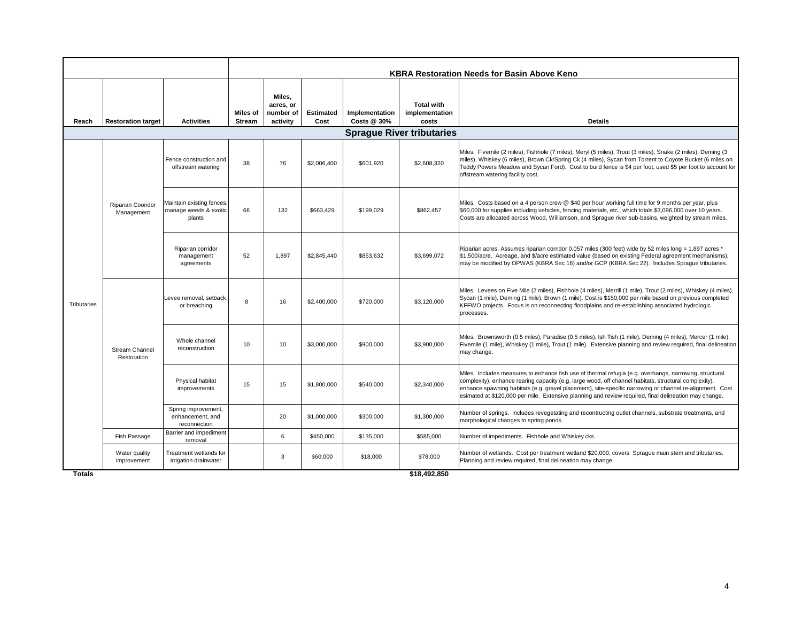|             |                                      |                                                              |                           |                                              |                          |                               | <b>KBRA Restoration Needs for Basin Above Keno</b> |                                                                                                                                                                                                                                                                                                                                                                                                                                      |
|-------------|--------------------------------------|--------------------------------------------------------------|---------------------------|----------------------------------------------|--------------------------|-------------------------------|----------------------------------------------------|--------------------------------------------------------------------------------------------------------------------------------------------------------------------------------------------------------------------------------------------------------------------------------------------------------------------------------------------------------------------------------------------------------------------------------------|
| Reach       | <b>Restoration target</b>            | <b>Activities</b>                                            | Miles of<br><b>Stream</b> | Miles.<br>acres, or<br>number of<br>activity | <b>Estimated</b><br>Cost | Implementation<br>Costs @ 30% | <b>Total with</b><br>implementation<br>costs       | <b>Details</b>                                                                                                                                                                                                                                                                                                                                                                                                                       |
|             |                                      |                                                              |                           |                                              |                          |                               | <b>Sprague River tributaries</b>                   |                                                                                                                                                                                                                                                                                                                                                                                                                                      |
|             |                                      | Fence construction and<br>offstream watering                 | 38                        | 76                                           | \$2,006.400              | \$601.920                     | \$2,608,320                                        | Miles. Fivemile (2 miles), Fishhole (7 miles), Meryl (5 miles), Trout (3 miles), Snake (2 miles), Deming (3<br>miles), Whiskey (6 miles), Brown Ck/Spring Ck (4 miles), Sycan from Torrent to Coyote Bucket (6 miles on<br>Teddy Powers Meadow and Sycan Ford). Cost to build fence is \$4 per foot, used \$5 per foot to account for<br>offstream watering facility cost.                                                           |
|             | Riparian Cooridor<br>Management      | Maintain existing fences,<br>manage weeds & exotic<br>plants | 66                        | 132                                          | \$663.429                | \$199.029                     | \$862.457                                          | Miles. Costs based on a 4 person crew @ \$40 per hour working full time for 9 months per year, plus<br>\$60,000 for supplies including vehicles, fencing materials, etc., which totals \$3,096,000 over 10 years.<br>Costs are allocated across Wood, Williamson, and Spraque river sub-basins, weighted by stream miles.                                                                                                            |
|             |                                      | Riparian corridor<br>management<br>agreements                | 52                        | 1,897                                        | \$2.845.440              | \$853.632                     | \$3,699,072                                        | Riparian acres. Assumes riparian corridor 0.057 miles (300 feet) wide by 52 miles long = 1,897 acres *<br>\$1,500/acre. Acreage, and \$/acre estimated value (based on existing Federal agreement mechanisms),<br>may be modified by OPWAS (KBRA Sec 16) and/or GCP (KBRA Sec 22). Includes Sprague tributaries.                                                                                                                     |
| Tributaries |                                      | Levee removal, setback,<br>or breaching                      | 8                         | 16                                           | \$2,400,000              | \$720,000                     | \$3,120,000                                        | Miles. Levees on Five Mile (2 miles), Fishhole (4 miles), Merrill (1 mile), Trout (2 miles), Whiskey (4 miles),<br>Sycan (1 mile), Deming (1 mile), Brown (1 mile). Cost is \$150,000 per mile based on previous completed<br>KFFWO projects. Focus is on reconnecting floodplains and re-establishing associated hydrologic<br>processes.                                                                                           |
|             | <b>Stream Channel</b><br>Restoration | Whole channel<br>reconstruction                              | 10                        | 10                                           | \$3,000,000              | \$900,000                     | \$3,900,000                                        | Miles. Brownsworth (0.5 miles), Paradise (0.5 miles), Ish Tish (1 mile), Deming (4 miles), Mercer (1 mile),<br>Fivemile (1 mile), Whiskey (1 mile), Trout (1 mile). Extensive planning and review required, final delineation<br>may change.                                                                                                                                                                                         |
|             |                                      | Physical habitat<br>improvements                             | 15                        | 15                                           | \$1,800,000              | \$540,000                     | \$2,340,000                                        | Miles. Includes measures to enhance fish use of thermal refugia (e.g. overhangs, narrowing, structural<br>complexity), enhance rearing capacity (e.g. large wood, off channel habitats, structural complexity),<br>enhance spawning habitats (e.g. gravel placement), site-specific narrowing or channel re-alignment. Cost<br>esimated at \$120,000 per mile. Extensive planning and review required, final delineation may change. |
|             |                                      | Spring improvement,<br>enhancement, and<br>reconnection      |                           | 20                                           | \$1,000,000              | \$300,000                     | \$1,300,000                                        | Number of springs. Includes revegetating and recontructing outlet channels, substrate treatments, and<br>morphological changes to spring ponds.                                                                                                                                                                                                                                                                                      |
|             | Fish Passage                         | Barrier and impediment<br>removal                            |                           | 6                                            | \$450,000                | \$135,000                     | \$585,000                                          | Number of impediments. Fishhole and Whiskey cks.                                                                                                                                                                                                                                                                                                                                                                                     |
|             | Water quality<br>improvement         | Treatment wetlands for<br>irrigation drainwater              |                           | 3                                            | \$60,000                 | \$18,000                      | \$78,000                                           | Number of wetlands. Cost per treatment wetland \$20,000, covers Sprague main stem and tributaries.<br>Planning and review required, final delineation may change.                                                                                                                                                                                                                                                                    |

**\$18,492,850**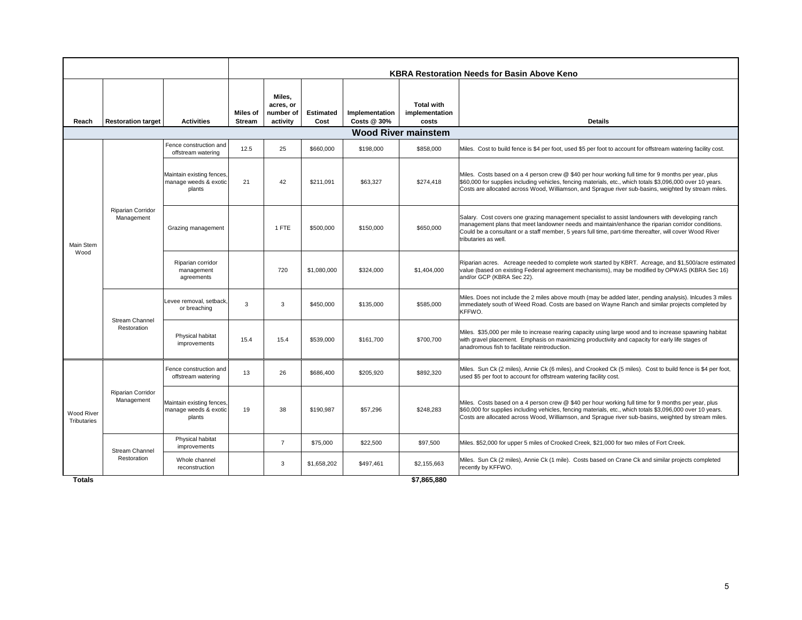|                                  |                                      |                                                              | KBRA Restoration Needs for Basin Above Keno |                                              |                          |                               |                                              |                                                                                                                                                                                                                                                                                                                                          |  |  |  |
|----------------------------------|--------------------------------------|--------------------------------------------------------------|---------------------------------------------|----------------------------------------------|--------------------------|-------------------------------|----------------------------------------------|------------------------------------------------------------------------------------------------------------------------------------------------------------------------------------------------------------------------------------------------------------------------------------------------------------------------------------------|--|--|--|
| Reach                            | <b>Restoration target</b>            | <b>Activities</b>                                            | Miles of<br><b>Stream</b>                   | Miles,<br>acres, or<br>number of<br>activity | <b>Estimated</b><br>Cost | Implementation<br>Costs @ 30% | <b>Total with</b><br>implementation<br>costs | <b>Details</b>                                                                                                                                                                                                                                                                                                                           |  |  |  |
|                                  |                                      |                                                              |                                             |                                              |                          |                               | <b>Wood River mainstem</b>                   |                                                                                                                                                                                                                                                                                                                                          |  |  |  |
|                                  |                                      | Fence construction and<br>offstream watering                 | 12.5                                        | 25                                           | \$660,000                | \$198,000                     | \$858,000                                    | Miles. Cost to build fence is \$4 per foot, used \$5 per foot to account for offstream watering facility cost.                                                                                                                                                                                                                           |  |  |  |
|                                  |                                      | Maintain existing fences,<br>manage weeds & exotic<br>plants | 21                                          | 42                                           | \$211,091                | \$63,327                      | \$274,418                                    | Miles. Costs based on a 4 person crew @ \$40 per hour working full time for 9 months per year, plus<br>\$60,000 for supplies including vehicles, fencing materials, etc., which totals \$3,096,000 over 10 years.<br>Costs are allocated across Wood, Williamson, and Spraque river sub-basins, weighted by stream miles.                |  |  |  |
| Main Stem                        | Riparian Corridor<br>Management      | Grazing management                                           |                                             | 1 FTE                                        | \$500,000                | \$150,000                     | \$650,000                                    | Salary. Cost covers one grazing management specialist to assist landowners with developing ranch<br>management plans that meet landowner needs and maintain/enhance the riparian corridor conditions.<br>Could be a consultant or a staff member, 5 years full time, part-time thereafter, will cover Wood River<br>tributaries as well. |  |  |  |
| Wood                             |                                      | Riparian corridor<br>management<br>agreements                |                                             | 720                                          | \$1,080,000              | \$324,000                     | \$1,404,000                                  | Riparian acres. Acreage needed to complete work started by KBRT. Acreage, and \$1,500/acre estimated<br>value (based on existing Federal agreement mechanisms), may be modified by OPWAS (KBRA Sec 16)<br>and/or GCP (KBRA Sec 22).                                                                                                      |  |  |  |
|                                  | <b>Stream Channel</b><br>Restoration | Levee removal, setback.<br>or breaching                      | 3                                           | 3                                            | \$450,000                | \$135,000                     | \$585,000                                    | Miles. Does not include the 2 miles above mouth (may be added later, pending analysis). Inlcudes 3 miles<br>immediately south of Weed Road. Costs are based on Wayne Ranch and similar projects completed by<br>KFFWO.                                                                                                                   |  |  |  |
|                                  |                                      | Physical habitat<br>improvements                             | 15.4                                        | 15.4                                         | \$539,000                | \$161.700                     | \$700,700                                    | Miles. \$35,000 per mile to increase rearing capacity using large wood and to increase spawning habitat<br>with gravel placement. Emphasis on maximizing productivity and capacity for early life stages of<br>anadromous fish to facilitate reintroduction.                                                                             |  |  |  |
|                                  |                                      | Fence construction and<br>offstream watering                 | 13                                          | 26                                           | \$686,400                | \$205,920                     | \$892,320                                    | Miles. Sun Ck (2 miles), Annie Ck (6 miles), and Crooked Ck (5 miles). Cost to build fence is \$4 per foot,<br>used \$5 per foot to account for offstream watering facility cost.                                                                                                                                                        |  |  |  |
| <b>Wood River</b><br>Tributaries | Riparian Corridor<br>Management      | Maintain existing fences.<br>manage weeds & exotic<br>plants | 19                                          | 38                                           | \$190,987                | \$57,296                      | \$248,283                                    | Miles. Costs based on a 4 person crew @ \$40 per hour working full time for 9 months per year, plus<br>\$60,000 for supplies including vehicles, fencing materials, etc., which totals \$3,096,000 over 10 years.<br>Costs are allocated across Wood, Williamson, and Spraque river sub-basins, weighted by stream miles.                |  |  |  |
|                                  | <b>Stream Channel</b>                | Physical habitat<br>improvements                             |                                             | $\overline{7}$                               | \$75,000                 | \$22,500                      | \$97,500                                     | Miles. \$52,000 for upper 5 miles of Crooked Creek, \$21,000 for two miles of Fort Creek.                                                                                                                                                                                                                                                |  |  |  |
|                                  | Restoration                          | Whole channel<br>reconstruction                              |                                             | 3                                            | \$1,658,202              | \$497,461                     | \$2,155,663                                  | Miles. Sun Ck (2 miles), Annie Ck (1 mile). Costs based on Crane Ck and similar projects completed<br>recently by KFFWO.                                                                                                                                                                                                                 |  |  |  |

**\$7,865,880**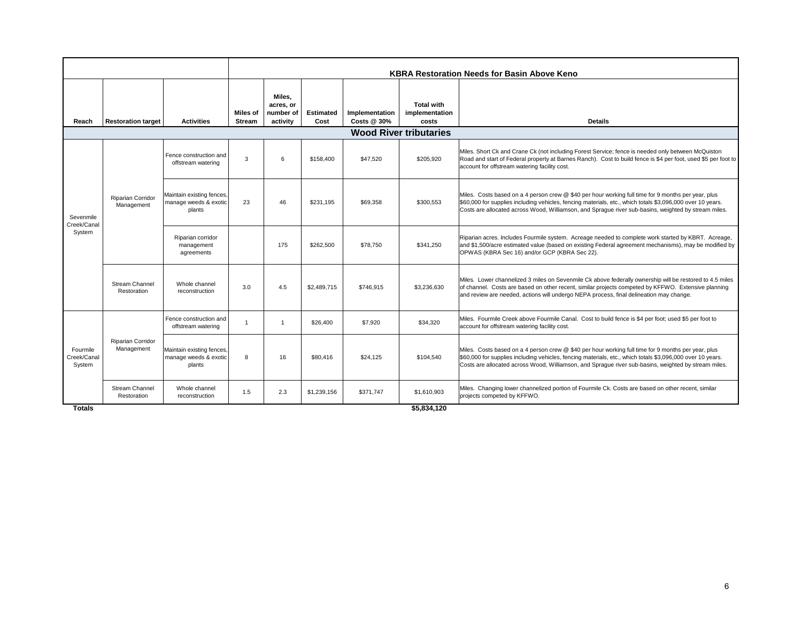|                                   |                                        |                                                              | <b>KBRA Restoration Needs for Basin Above Keno</b> |                                              |                          |                               |                                              |                                                                                                                                                                                                                                                                                                                           |  |  |  |  |
|-----------------------------------|----------------------------------------|--------------------------------------------------------------|----------------------------------------------------|----------------------------------------------|--------------------------|-------------------------------|----------------------------------------------|---------------------------------------------------------------------------------------------------------------------------------------------------------------------------------------------------------------------------------------------------------------------------------------------------------------------------|--|--|--|--|
| Reach                             | <b>Restoration target</b>              | <b>Activities</b>                                            | Miles of<br><b>Stream</b>                          | Miles.<br>acres, or<br>number of<br>activity | <b>Estimated</b><br>Cost | Implementation<br>Costs @ 30% | <b>Total with</b><br>implementation<br>costs | <b>Details</b>                                                                                                                                                                                                                                                                                                            |  |  |  |  |
|                                   |                                        |                                                              |                                                    |                                              |                          |                               | <b>Wood River tributaries</b>                |                                                                                                                                                                                                                                                                                                                           |  |  |  |  |
| Sevenmile                         |                                        | Fence construction and<br>offstream watering                 | 3                                                  | 6                                            | \$158,400                | \$47,520                      | \$205,920                                    | Miles. Short Ck and Crane Ck (not including Forest Service; fence is needed only between McQuiston<br>Road and start of Federal property at Barnes Ranch). Cost to build fence is \$4 per foot, used \$5 per foot to<br>account for offstream watering facility cost.                                                     |  |  |  |  |
|                                   | <b>Riparian Corridor</b><br>Management | Maintain existing fences,<br>manage weeds & exotic<br>plants | 23                                                 | 46                                           | \$231.195                | \$69,358                      | \$300.553                                    | Miles. Costs based on a 4 person crew @ \$40 per hour working full time for 9 months per year, plus<br>\$60,000 for supplies including vehicles, fencing materials, etc., which totals \$3,096,000 over 10 years.<br>Costs are allocated across Wood, Williamson, and Sprague river sub-basins, weighted by stream miles. |  |  |  |  |
| Creek/Canal<br>System             |                                        | Riparian corridor<br>management<br>agreements                |                                                    | 175                                          | \$262,500                | \$78,750                      | \$341,250                                    | Riparian acres. Includes Fourmile system. Acreage needed to complete work started by KBRT. Acreage,<br>and \$1,500/acre estimated value (based on existing Federal agreement mechanisms), may be modified by<br>OPWAS (KBRA Sec 16) and/or GCP (KBRA Sec 22).                                                             |  |  |  |  |
|                                   | <b>Stream Channel</b><br>Restoration   | Whole channel<br>reconstruction                              | 3.0                                                | 4.5                                          | \$2,489.715              | \$746.915                     | \$3,236,630                                  | Miles. Lower channelized 3 miles on Sevenmile Ck above federally ownership will be restored to 4.5 miles<br>of channel. Costs are based on other recent, similar projects competed by KFFWO. Extensive planning<br>and review are needed, actions will undergo NEPA process, final delineation may change.                |  |  |  |  |
|                                   |                                        | Fence construction and<br>offstream watering                 |                                                    | $\overline{1}$                               | \$26,400                 | \$7,920                       | \$34,320                                     | Miles. Fourmile Creek above Fourmile Canal. Cost to build fence is \$4 per foot; used \$5 per foot to<br>account for offstream watering facility cost.                                                                                                                                                                    |  |  |  |  |
| Fourmile<br>Creek/Canal<br>System | Riparian Corridor<br>Management        | Maintain existing fences,<br>manage weeds & exotic<br>plants | 8                                                  | 16                                           | \$80.416                 | \$24.125                      | \$104,540                                    | Miles. Costs based on a 4 person crew @ \$40 per hour working full time for 9 months per year, plus<br>\$60,000 for supplies including vehicles, fencing materials, etc., which totals \$3,096,000 over 10 years.<br>Costs are allocated across Wood, Williamson, and Sprague river sub-basins, weighted by stream miles. |  |  |  |  |
|                                   | <b>Stream Channel</b><br>Restoration   | Whole channel<br>reconstruction                              | 1.5                                                | 2.3                                          | \$1,239,156              | \$371.747                     | \$1,610,903                                  | Miles. Changing lower channelized portion of Fourmile Ck. Costs are based on other recent, similar<br>projects competed by KFFWO.                                                                                                                                                                                         |  |  |  |  |

**\$5,834,120**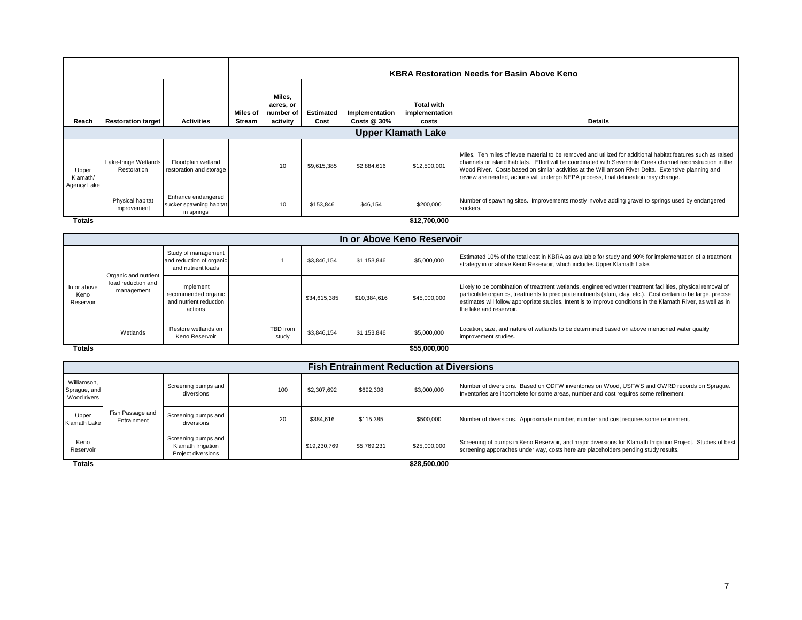|                                  |                                     |                                                             |                    |                                              |                          |                               |                                              | <b>KBRA Restoration Needs for Basin Above Keno</b>                                                                                                                                                                                                                                                                                                                                                                       |  |  |  |
|----------------------------------|-------------------------------------|-------------------------------------------------------------|--------------------|----------------------------------------------|--------------------------|-------------------------------|----------------------------------------------|--------------------------------------------------------------------------------------------------------------------------------------------------------------------------------------------------------------------------------------------------------------------------------------------------------------------------------------------------------------------------------------------------------------------------|--|--|--|
| Reach                            | <b>Restoration target</b>           | <b>Activities</b>                                           | Miles of<br>Stream | Miles,<br>acres, or<br>number of<br>activity | <b>Estimated</b><br>Cost | Implementation<br>Costs @ 30% | <b>Total with</b><br>implementation<br>costs | <b>Details</b>                                                                                                                                                                                                                                                                                                                                                                                                           |  |  |  |
| <b>Upper Klamath Lake</b>        |                                     |                                                             |                    |                                              |                          |                               |                                              |                                                                                                                                                                                                                                                                                                                                                                                                                          |  |  |  |
| Upper<br>Klamath/<br>Agency Lake | Lake-fringe Wetlands<br>Restoration | Floodplain wetland<br>restoration and storage               |                    | 10                                           | \$9,615,385              | \$2,884,616                   | \$12,500,001                                 | Miles. Ten miles of levee material to be removed and utilized for additional habitat features such as raised<br>channels or island habitats. Effort will be coordinated with Sevenmile Creek channel reconstruction in the<br>Wood River. Costs based on similar activities at the Williamson River Delta. Extensive planning and<br>review are needed, actions will undergo NEPA process, final delineation may change. |  |  |  |
|                                  | Physical habitat<br>improvement     | Enhance endangered<br>sucker spawning habitat<br>in springs |                    | 10                                           | \$153,846                | \$46,154                      | \$200,000                                    | Number of spawning sites. Improvements mostly involve adding gravel to springs used by endangered<br>suckers.                                                                                                                                                                                                                                                                                                            |  |  |  |
| <b>Totals</b>                    |                                     |                                                             |                    |                                              |                          |                               | \$12,700,000                                 |                                                                                                                                                                                                                                                                                                                                                                                                                          |  |  |  |

|                                  | In or Above Keno Reservoir                               |                                                                       |  |                   |              |              |              |                                                                                                                                                                                                                                                                                                                                                                            |  |  |  |  |  |
|----------------------------------|----------------------------------------------------------|-----------------------------------------------------------------------|--|-------------------|--------------|--------------|--------------|----------------------------------------------------------------------------------------------------------------------------------------------------------------------------------------------------------------------------------------------------------------------------------------------------------------------------------------------------------------------------|--|--|--|--|--|
|                                  |                                                          | Study of management<br>and reduction of organic<br>and nutrient loads |  |                   | \$3.846.154  | \$1.153.846  | \$5,000,000  | Estimated 10% of the total cost in KBRA as available for study and 90% for implementation of a treatment<br>strategy in or above Keno Reservoir, which includes Upper Klamath Lake.                                                                                                                                                                                        |  |  |  |  |  |
| In or above<br>Keno<br>Reservoir | Organic and nutrient<br>load reduction and<br>management | Implement<br>recommended organic<br>and nutrient reduction<br>actions |  |                   | \$34,615,385 | \$10,384,616 | \$45,000,000 | Likely to be combination of treatment wetlands, engineered water treatment facilities, physical removal of<br>particulate organics, treatments to precipitate nutrients (alum, clay, etc.). Cost certain to be large, precise<br>estimates will follow appropriate studies. Intent is to improve conditions in the Klamath River, as well as in<br>the lake and reservoir. |  |  |  |  |  |
|                                  | Wetlands                                                 | Restore wetlands on<br>Keno Reservoir                                 |  | TBD from<br>study | \$3.846.154  | \$1.153.846  | \$5,000,000  | Location, size, and nature of wetlands to be determined based on above mentioned water quality<br>improvement studies.                                                                                                                                                                                                                                                     |  |  |  |  |  |

**\$55 000 000 \$55,000,000**

|                                            | <b>Fish Entrainment Reduction at Diversions</b> |                                                                 |  |     |              |             |                    |                                                                                                                                                                                                  |  |  |  |  |  |
|--------------------------------------------|-------------------------------------------------|-----------------------------------------------------------------|--|-----|--------------|-------------|--------------------|--------------------------------------------------------------------------------------------------------------------------------------------------------------------------------------------------|--|--|--|--|--|
| Williamson,<br>Sprague, and<br>Wood rivers |                                                 | Screening pumps and<br>diversions                               |  | 100 | \$2,307,692  | \$692,308   | \$3,000,000        | Number of diversions. Based on ODFW inventories on Wood, USFWS and OWRD records on Sprague.<br>Inventories are incomplete for some areas, number and cost requires some refinement.              |  |  |  |  |  |
| Upper<br>Klamath Lake                      | Fish Passage and<br>Entrainment                 | Screening pumps and<br>diversions                               |  | 20  | \$384,616    | \$115,385   | \$500,000          | Number of diversions. Approximate number, number and cost requires some refinement.                                                                                                              |  |  |  |  |  |
| Keno<br>Reservoir                          |                                                 | Screening pumps and<br>Klamath Irrigation<br>Project diversions |  |     | \$19,230,769 | \$5,769,231 | \$25,000,000       | Screening of pumps in Keno Reservoir, and major diversions for Klamath Irrigation Project. Studies of best<br>screening apporaches under way, costs here are placeholders pending study results. |  |  |  |  |  |
| Totale                                     |                                                 |                                                                 |  |     |              |             | <b>COR 500 000</b> |                                                                                                                                                                                                  |  |  |  |  |  |

**Totals**

**\$28,500,000**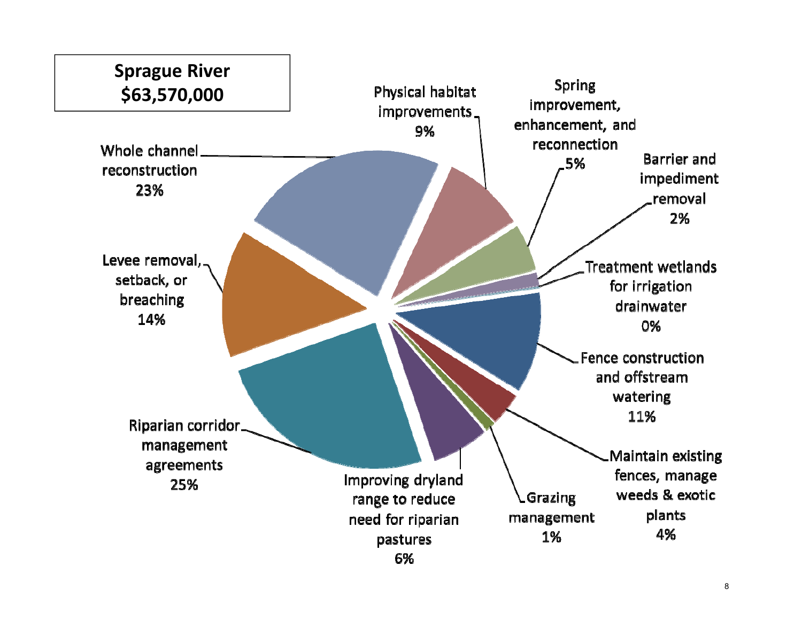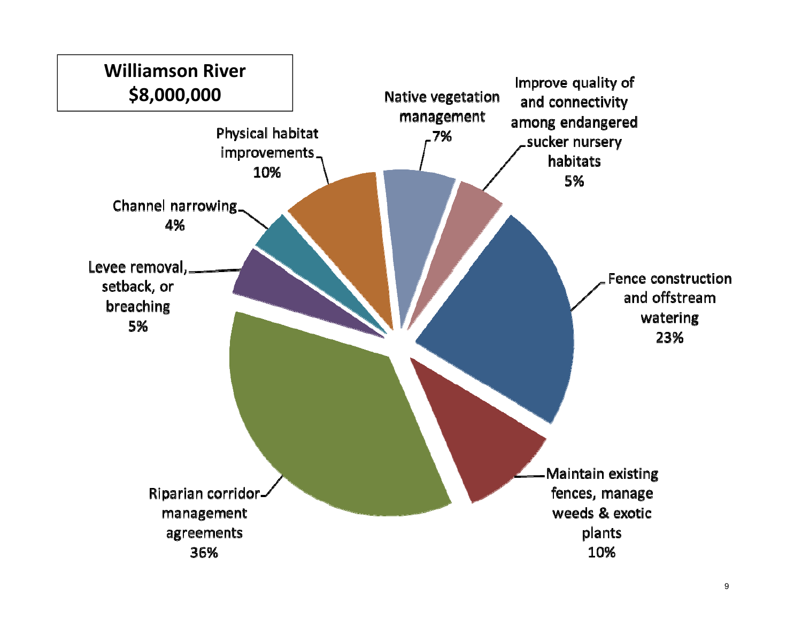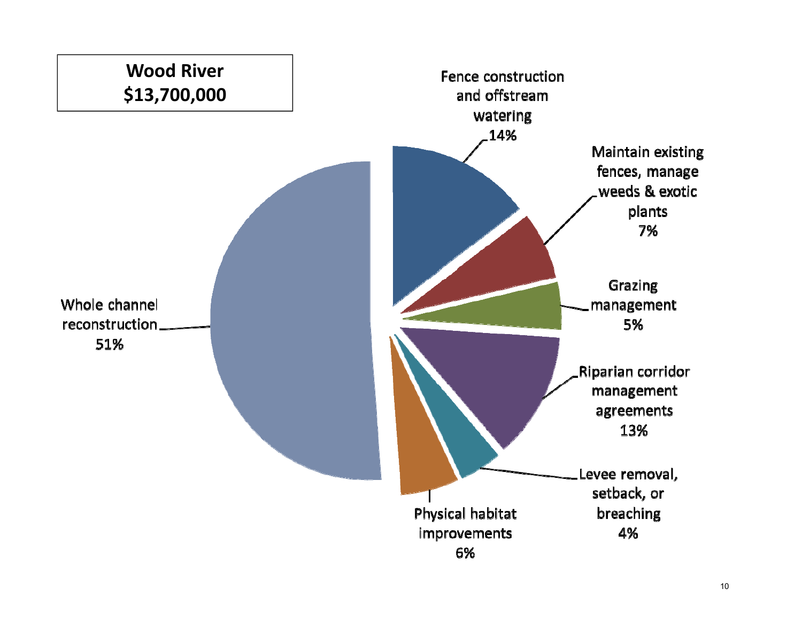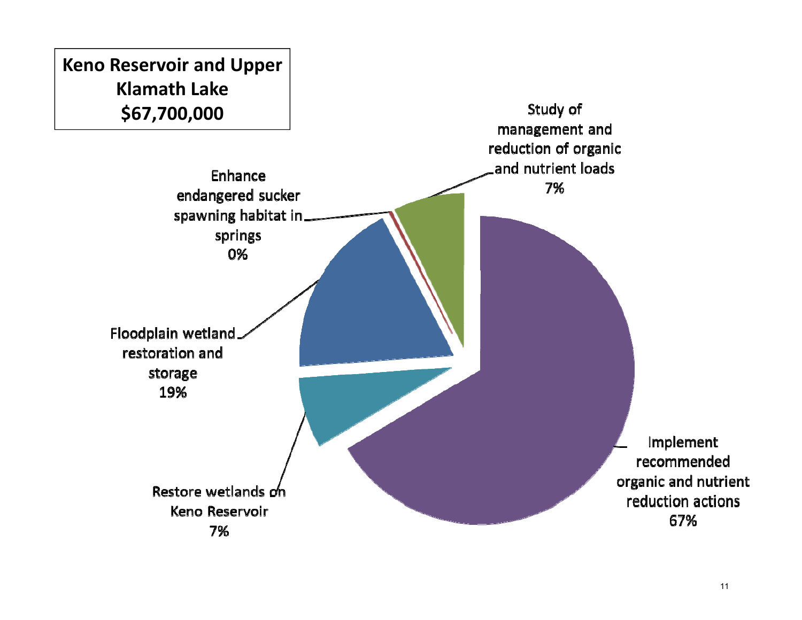